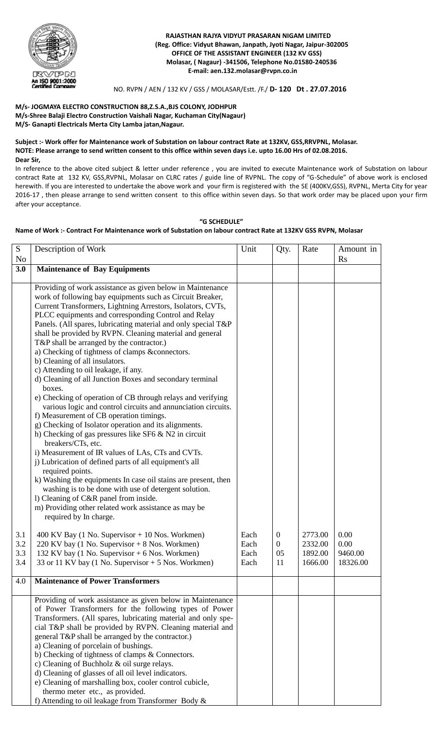

 **RAJASTHAN RAJYA VIDYUT PRASARAN NIGAM LIMITED (Reg. Office: Vidyut Bhawan, Janpath, Jyoti Nagar, Jaipur-302005 OFFICE OF THE ASSISTANT ENGINEER (132 KV GSS) Molasar, ( Nagaur) -341506, Telephone No.01580-240536 E-mail: aen.132.molasar@rvpn.co.in**

# NO. RVPN / AEN / 132 KV / GSS / MOLASAR/Estt. /F./ **D- 120 Dt . 27.07.2016**

# **M/s- JOGMAYA ELECTRO CONSTRUCTION 88,Z.S.A.,BJS COLONY, JODHPUR M/s-Shree Balaji Electro Construction Vaishali Nagar, Kuchaman City(Nagaur) M/S- Ganapti Electricals Merta City Lamba jatan,Nagaur.**

#### **Subject :- Work offer for Maintenance work of Substation on labour contract Rate at 132KV, GSS,RRVPNL, Molasar. NOTE: Please arrange to send written consent to this office within seven days i.e. upto 16.00 Hrs of 02.08.2016. Dear Sir,**

In reference to the above cited subject & letter under reference , you are invited to execute Maintenance work of Substation on labour contract Rate at 132 KV, GSS,RVPNL, Molasar on CLRC rates / guide line of RVPNL. The copy of "G-Schedule" of above work is enclosed herewith. If you are interested to undertake the above work and your firm is registered with the SE (400KV,GSS), RVPNL, Merta City for year 2016-17 , then please arrange to send written consent to this office within seven days. So that work order may be placed upon your firm after your acceptance.

### **"G SCHEDULE"**

# **Name of Work :- Contract For Maintenance work of Substation on labour contract Rate at 132KV GSS RVPN, Molasar**

| S<br>No                  | Description of Work                                                                                                                                                                                                                                                                                                                                                                                                                                                                                                                                                                                                                                                                                                                                                                                                                                                                                                                                                                                                                                                                                                                                                                                                                                                                                                                       | Unit                         | Qty.                                           | Rate                                     | Amount in<br><b>Rs</b>              |
|--------------------------|-------------------------------------------------------------------------------------------------------------------------------------------------------------------------------------------------------------------------------------------------------------------------------------------------------------------------------------------------------------------------------------------------------------------------------------------------------------------------------------------------------------------------------------------------------------------------------------------------------------------------------------------------------------------------------------------------------------------------------------------------------------------------------------------------------------------------------------------------------------------------------------------------------------------------------------------------------------------------------------------------------------------------------------------------------------------------------------------------------------------------------------------------------------------------------------------------------------------------------------------------------------------------------------------------------------------------------------------|------------------------------|------------------------------------------------|------------------------------------------|-------------------------------------|
| 3.0                      | <b>Maintenance of Bay Equipments</b>                                                                                                                                                                                                                                                                                                                                                                                                                                                                                                                                                                                                                                                                                                                                                                                                                                                                                                                                                                                                                                                                                                                                                                                                                                                                                                      |                              |                                                |                                          |                                     |
|                          | Providing of work assistance as given below in Maintenance<br>work of following bay equipments such as Circuit Breaker,<br>Current Transformers, Lightning Arrestors, Isolators, CVTs,<br>PLCC equipments and corresponding Control and Relay<br>Panels. (All spares, lubricating material and only special T&P<br>shall be provided by RVPN. Cleaning material and general<br>T&P shall be arranged by the contractor.)<br>a) Checking of tightness of clamps &connectors.<br>b) Cleaning of all insulators.<br>c) Attending to oil leakage, if any.<br>d) Cleaning of all Junction Boxes and secondary terminal<br>boxes.<br>e) Checking of operation of CB through relays and verifying<br>various logic and control circuits and annunciation circuits.<br>f) Measurement of CB operation timings.<br>g) Checking of Isolator operation and its alignments.<br>h) Checking of gas pressures like SF6 $&$ N2 in circuit<br>breakers/CTs, etc.<br>i) Measurement of IR values of LAs, CTs and CVTs.<br>j) Lubrication of defined parts of all equipment's all<br>required points.<br>k) Washing the equipments In case oil stains are present, then<br>washing is to be done with use of detergent solution.<br>1) Cleaning of C&R panel from inside.<br>m) Providing other related work assistance as may be<br>required by In charge. |                              |                                                |                                          |                                     |
| 3.1<br>3.2<br>3.3<br>3.4 | 400 KV Bay (1 No. Supervisor $+$ 10 Nos. Workmen)<br>220 KV bay (1 No. Supervisor $+ 8$ Nos. Workmen)<br>132 KV bay (1 No. Supervisor + 6 Nos. Workmen)<br>33 or 11 KV bay (1 No. Supervisor + 5 Nos. Workmen)                                                                                                                                                                                                                                                                                                                                                                                                                                                                                                                                                                                                                                                                                                                                                                                                                                                                                                                                                                                                                                                                                                                            | Each<br>Each<br>Each<br>Each | $\overline{0}$<br>$\boldsymbol{0}$<br>05<br>11 | 2773.00<br>2332.00<br>1892.00<br>1666.00 | 0.00<br>0.00<br>9460.00<br>18326.00 |
| 4.0                      | <b>Maintenance of Power Transformers</b>                                                                                                                                                                                                                                                                                                                                                                                                                                                                                                                                                                                                                                                                                                                                                                                                                                                                                                                                                                                                                                                                                                                                                                                                                                                                                                  |                              |                                                |                                          |                                     |
|                          | Providing of work assistance as given below in Maintenance<br>of Power Transformers for the following types of Power<br>Transformers. (All spares, lubricating material and only spe-<br>cial T&P shall be provided by RVPN. Cleaning material and<br>general T&P shall be arranged by the contractor.)<br>a) Cleaning of porcelain of bushings.<br>b) Checking of tightness of clamps & Connectors.<br>c) Cleaning of Buchholz $\&$ oil surge relays.<br>d) Cleaning of glasses of all oil level indicators.<br>e) Cleaning of marshalling box, cooler control cubicle,<br>thermo meter etc., as provided.<br>f) Attending to oil leakage from Transformer Body &                                                                                                                                                                                                                                                                                                                                                                                                                                                                                                                                                                                                                                                                        |                              |                                                |                                          |                                     |